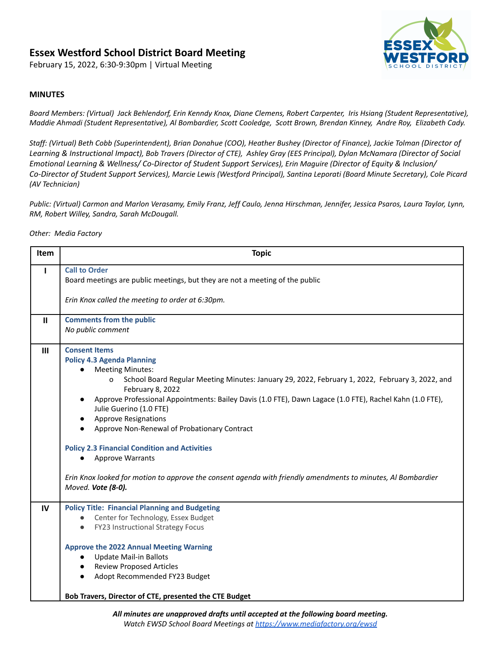# **Essex Westford School District Board Meeting**

February 15, 2022, 6:30-9:30pm | Virtual Meeting



#### **MINUTES**

Board Members: (Virtual) Jack Behlendorf, Erin Kenndy Knox, Diane Clemens, Robert Carpenter, Iris Hsiang (Student Representative), Maddie Ahmadi (Student Representative), Al Bombardier, Scott Cooledge, Scott Brown, Brendan Kinney, Andre Roy, Elizabeth Cady.

Staff: (Virtual) Beth Cobb (Superintendent), Brian Donahue (COO), Heather Bushey (Director of Finance), Jackie Tolman (Director of Learning & Instructional Impact), Bob Travers (Director of CTE), Ashley Gray (EES Principal), Dylan McNamara (Director of Social *Emotional Learning & Wellness/ Co-Director of Student Support Services), Erin Maguire (Director of Equity & Inclusion/ Co-Director of Student Support Services), Marcie Lewis (Westford Principal), Santina Leporati (Board Minute Secretary), Cole Picard (AV Technician)*

Public: (Virtual) Carmon and Marlon Verasamy, Emily Franz, Jeff Caulo, Jenna Hirschman, Jennifer, Jessica Psaros, Laura Taylor, Lynn, *RM, Robert Willey, Sandra, Sarah McDougall.*

*Other: Media Factory*

| <b>Item</b> | <b>Topic</b>                                                                                                                                                                                                                                                                                                                                                                                                                                                                                                                                                                                                                                                                 |
|-------------|------------------------------------------------------------------------------------------------------------------------------------------------------------------------------------------------------------------------------------------------------------------------------------------------------------------------------------------------------------------------------------------------------------------------------------------------------------------------------------------------------------------------------------------------------------------------------------------------------------------------------------------------------------------------------|
| I.          | <b>Call to Order</b><br>Board meetings are public meetings, but they are not a meeting of the public                                                                                                                                                                                                                                                                                                                                                                                                                                                                                                                                                                         |
|             | Erin Knox called the meeting to order at 6:30pm.                                                                                                                                                                                                                                                                                                                                                                                                                                                                                                                                                                                                                             |
| Ш           | <b>Comments from the public</b><br>No public comment                                                                                                                                                                                                                                                                                                                                                                                                                                                                                                                                                                                                                         |
| III         | <b>Consent Items</b><br><b>Policy 4.3 Agenda Planning</b><br><b>Meeting Minutes:</b><br>School Board Regular Meeting Minutes: January 29, 2022, February 1, 2022, February 3, 2022, and<br>o<br>February 8, 2022<br>Approve Professional Appointments: Bailey Davis (1.0 FTE), Dawn Lagace (1.0 FTE), Rachel Kahn (1.0 FTE),<br>Julie Guerino (1.0 FTE)<br><b>Approve Resignations</b><br>Approve Non-Renewal of Probationary Contract<br><b>Policy 2.3 Financial Condition and Activities</b><br><b>Approve Warrants</b><br>$\bullet$<br>Erin Knox looked for motion to approve the consent agenda with friendly amendments to minutes, Al Bombardier<br>Moved. Vote (8-0). |
| IV          | <b>Policy Title: Financial Planning and Budgeting</b><br>Center for Technology, Essex Budget<br>FY23 Instructional Strategy Focus<br><b>Approve the 2022 Annual Meeting Warning</b><br><b>Update Mail-in Ballots</b><br>$\bullet$<br><b>Review Proposed Articles</b><br>Adopt Recommended FY23 Budget<br>Bob Travers, Director of CTE, presented the CTE Budget                                                                                                                                                                                                                                                                                                              |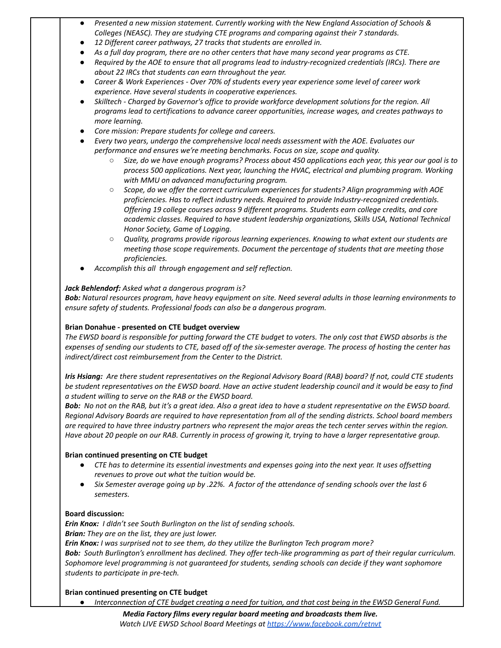- *● Presented a new mission statement. Currently working with the New England Association of Schools & Colleges (NEASC). They are studying CTE programs and comparing against their 7 standards.*
- *● 12 Different career pathways, 27 tracks that students are enrolled in.*
- As a full day program, there are no other centers that have many second year programs as CTE.
- Required by the AOE to ensure that all programs lead to industry-recognized credentials (IRCs). There are *about 22 IRCs that students can earn throughout the year.*
- *● Career & Work Experiences - Over 70% of students every year experience some level of career work experience. Have several students in cooperative experiences.*
- *● Skilltech - Charged by Governor's office to provide workforce development solutions for the region. All programs lead to certifications to advance career opportunities, increase wages, and creates pathways to more learning.*
- *● Core mission: Prepare students for college and careers.*
- *● Every two years, undergo the comprehensive local needs assessment with the AOE. Evaluates our performance and ensures we're meeting benchmarks. Focus on size, scope and quality.*
	- $\circ$  Size, do we have enough programs? Process about 450 applications each year, this year our goal is to *process 500 applications. Next year, launching the HVAC, electrical and plumbing program. Working with MMU on advanced manufacturing program.*
	- *○ Scope, do we offer the correct curriculum experiences for students? Align programming with AOE proficiencies. Has to reflect industry needs. Required to provide Industry-recognized credentials. Offering 19 college courses across 9 different programs. Students earn college credits, and core academic classes. Required to have student leadership organizations, Skills USA, National Technical Honor Society, Game of Logging.*
	- *○ Quality, programs provide rigorous learning experiences. Knowing to what extent our students are meeting those scope requirements. Document the percentage of students that are meeting those proficiencies.*
- *● Accomplish this all through engagement and self reflection.*

# *Jack Behlendorf: Asked what a dangerous program is?*

Bob: Natural resources program, have heavy equipment on site. Need several adults in those learning environments to *ensure safety of students. Professional foods can also be a dangerous program.*

### **Brian Donahue - presented on CTE budget overview**

The EWSD board is responsible for putting forward the CTE budget to voters. The only cost that EWSD absorbs is the expenses of sending our students to CTE, based off of the six-semester average. The process of hosting the center has *indirect/direct cost reimbursement from the Center to the District.*

Iris Hsiang: Are there student representatives on the Regional Advisory Board (RAB) board? If not, could CTE students be student representatives on the EWSD board. Have an active student leadership council and it would be easy to find *a student willing to serve on the RAB or the EWSD board.*

Bob: No not on the RAB, but it's a great idea. Also a great idea to have a student representative on the EWSD board. Regional Advisory Boards are required to have representation from all of the sending districts. School board members are required to have three industry partners who represent the major areas the tech center serves within the region. Have about 20 people on our RAB. Currently in process of growing it, trying to have a larger representative group.

### **Brian continued presenting on CTE budget**

- CTE has to determine its essential investments and expenses going into the next year. It uses offsetting *revenues to prove out what the tuition would be.*
- Six Semester average going up by .22%. A factor of the attendance of sending schools over the last 6 *semesters.*

### **Board discussion:**

*Erin Knox: I dIdn't see South Burlington on the list of sending schools. Brian: They are on the list, they are just lower. Erin Knox: I was surprised not to see them, do they utilize the Burlington Tech program more?*

Bob: South Burlington's enrollment has declined. They offer tech-like programming as part of their regular curriculum. *Sophomore level programming is not guaranteed for students, sending schools can decide if they want sophomore students to participate in pre-tech.*

**Brian continued presenting on CTE budget**

Interconnection of CTE budget creating a need for tuition, and that cost being in the EWSD General Fund.

*Media Factory films every regular board meeting and broadcasts them live. Watch LIVE EWSD School Board Meetings at https://www.facebook.com/retnvt*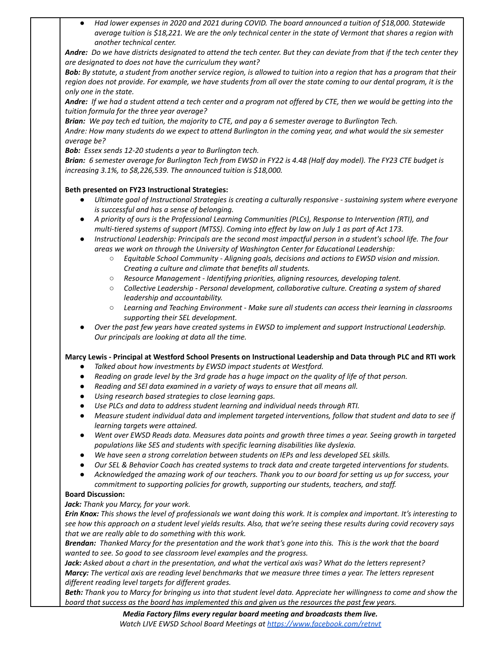Had lower expenses in 2020 and 2021 during COVID. The board announced a tuition of \$18,000. Statewide average tuition is \$18,221. We are the only technical center in the state of Vermont that shares a region with *another technical center.*

Andre: Do we have districts designated to attend the tech center. But they can deviate from that if the tech center they *are designated to does not have the curriculum they want?*

Bob: By statute, a student from another service region, is allowed to tuition into a region that has a program that their region does not provide. For example, we have students from all over the state coming to our dental program, it is the *only one in the state.*

Andre: If we had a student attend a tech center and a program not offered by CTE, then we would be getting into the *tuition formula for the three year average?*

Brian: We pay tech ed tuition, the majority to CTE, and pay a 6 semester average to Burlington Tech.

Andre: How many students do we expect to attend Burlington in the coming year, and what would the six semester *average be?*

*Bob: Essex sends 12-20 students a year to Burlington tech.*

Brian: 6 semester average for Burlington Tech from EWSD in FY22 is 4.48 (Half day model). The FY23 CTE budget is *increasing 3.1%, to \$8,226,539. The announced tuition is \$18,000.*

# **Beth presented on FY23 Instructional Strategies:**

- Ultimate goal of Instructional Strategies is creating a culturally responsive sustaining system where everyone *is successful and has a sense of belonging.*
- *● A priority of ours is the Professional Learning Communities (PLCs), Response to Intervention (RTI), and multi-tiered systems of support (MTSS). Coming into effect by law on July 1 as part of Act 173.*
- Instructional Leadership: Principals are the second most impactful person in a student's school life. The four *areas we work on through the University of Washington Center for Educational Leadership:*
	- *○ Equitable School Community - Aligning goals, decisions and actions to EWSD vision and mission. Creating a culture and climate that benefits all students.*
	- *○ Resource Management - Identifying priorities, aligning resources, developing talent.*
	- *○ Collective Leadership - Personal development, collaborative culture. Creating a system of shared leadership and accountability.*
	- *○ Learning and Teaching Environment - Make sure all students can access their learning in classrooms supporting their SEL development.*
- *● Over the past few years have created systems in EWSD to implement and support Instructional Leadership. Our principals are looking at data all the time.*

# Marcy Lewis - Principal at Westford School Presents on Instructional Leadership and Data through PLC and RTI work

- *● Talked about how investments by EWSD impact students at Westford.*
- Reading on grade level by the 3rd grade has a huge impact on the quality of life of that person.
- *● Reading and SEl data examined in a variety of ways to ensure that all means all.*
- *● Using research based strategies to close learning gaps.*
- *● Use PLCs and data to address student learning and individual needs through RTI.*
- Measure student individual data and implement targeted interventions, follow that student and data to see if *learning targets were attained.*
- Went over EWSD Reads data. Measures data points and growth three times a year. Seeing growth in targeted *populations like SES and students with specific learning disabilities like dyslexia.*
- *● We have seen a strong correlation between students on IEPs and less developed SEL skills.*
- Our SEL & Behavior Coach has created systems to track data and create targeted interventions for students.
- Acknowledged the amazing work of our teachers. Thank you to our board for setting us up for success, your *commitment to supporting policies for growth, supporting our students, teachers, and staff.*

### **Board Discussion:**

### *Jack: Thank you Marcy, for your work.*

Erin Knox: This shows the level of professionals we want doing this work. It is complex and important. It's interesting to see how this approach on a student level yields results. Also, that we're seeing these results during covid recovery says *that we are really able to do something with this work.*

Brendan: Thanked Marcy for the presentation and the work that's gone into this. This is the work that the board *wanted to see. So good to see classroom level examples and the progress.*

Jack: Asked about a chart in the presentation, and what the vertical axis was? What do the letters represent? Marcy: The vertical axis are reading level benchmarks that we measure three times a year. The letters represent *different reading level targets for different grades.*

Beth: Thank you to Marcy for bringing us into that student level data. Appreciate her willingness to come and show the board that success as the board has implemented this and given us the resources the past few years.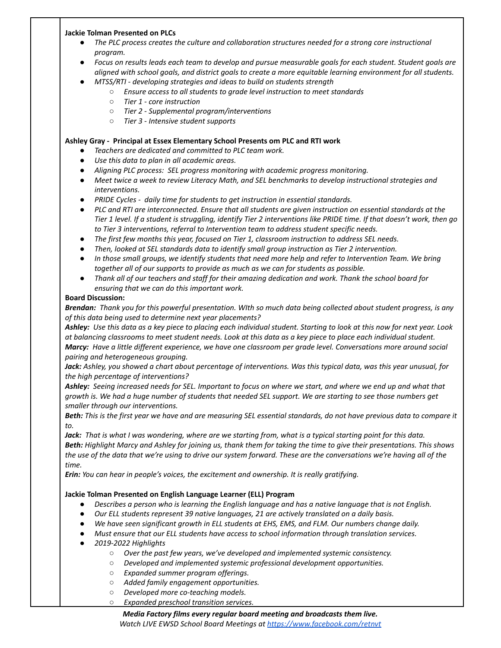#### **Jackie Tolman Presented on PLCs**

- *● The PLC process creates the culture and collaboration structures needed for a strong core instructional program.*
- Focus on results leads each team to develop and pursue measurable goals for each student. Student goals are aligned with school goals, and district goals to create a more equitable learning environment for all students.
- *● MTSS/RTI - developing strategies and ideas to build on students strength*
	- *○ Ensure access to all students to grade level instruction to meet standards*
		- *○ Tier 1 - core instruction*
		- *○ Tier 2 - Supplemental program/interventions*
		- *○ Tier 3 - Intensive student supports*

#### **Ashley Gray - Principal at Essex Elementary School Presents om PLC and RTI work**

- *● Teachers are dedicated and committed to PLC team work.*
- *● Use this data to plan in all academic areas.*
- *● Aligning PLC process: SEL progress monitoring with academic progress monitoring.*
- *● Meet twice a week to review Literacy Math, and SEL benchmarks to develop instructional strategies and interventions.*
- *● PRIDE Cycles - daily time for students to get instruction in essential standards.*
- PLC and RTI are interconnected. Ensure that all students are given instruction on essential standards at the Tier 1 level. If a student is struggling, identify Tier 2 interventions like PRIDE time. If that doesn't work, then go *to Tier 3 interventions, referral to Intervention team to address student specific needs.*
- *● The first few months this year, focused on Tier 1, classroom instruction to address SEL needs.*
- *● Then, looked at SEL standards data to identify small group instruction as Tier 2 intervention.*
- In those small groups, we identify students that need more help and refer to Intervention Team. We bring *together all of our supports to provide as much as we can for students as possible.*
- Thank all of our teachers and staff for their amazing dedication and work. Thank the school board for *ensuring that we can do this important work.*

#### **Board Discussion:**

Brendan: Thank you for this powerful presentation. WIth so much data being collected about student progress, is any *of this data being used to determine next year placements?*

Ashley: Use this data as a key piece to placing each individual student. Starting to look at this now for next year. Look at balancing classrooms to meet student needs. Look at this data as a key piece to place each individual student. Marcy: Have a little different experience, we have one classroom per grade level. Conversations more around social *pairing and heterogeneous grouping.*

Jack: Ashley, you showed a chart about percentage of interventions. Was this typical data, was this year unusual, for *the high percentage of interventions?*

Ashley: Seeing increased needs for SEL. Important to focus on where we start, and where we end up and what that growth is. We had a huge number of students that needed SEL support. We are starting to see those numbers get *smaller through our interventions.*

Beth: This is the first year we have and are measuring SEL essential standards, do not have previous data to compare it *to.*

Jack: That is what I was wondering, where are we starting from, what is a typical starting point for this data. Beth: Highlight Marcy and Ashley for joining us, thank them for taking the time to give their presentations. This shows the use of the data that we're using to drive our system forward. These are the conversations we're having all of the *time.*

*Erin: You can hear in people's voices, the excitement and ownership. It is really gratifying.*

### **Jackie Tolman Presented on English Language Learner (ELL) Program**

- Describes a person who is learning the English language and has a native language that is not English.
- *● Our ELL students represent 39 native languages, 21 are actively translated on a daily basis.*
- *● We have seen significant growth in ELL students at EHS, EMS, and FLM. Our numbers change daily.*
- *● Must ensure that our ELL students have access to school information through translation services.*
- *● 2019-2022 Highlights*
	- *○ Over the past few years, we've developed and implemented systemic consistency.*
	- *○ Developed and implemented systemic professional development opportunities.*
	- *○ Expanded summer program offerings.*
	- *○ Added family engagement opportunities.*
	- *○ Developed more co-teaching models.*
	- *○ Expanded preschool transition services.*

#### *Media Factory films every regular board meeting and broadcasts them live. Watch LIVE EWSD School Board Meetings at https://www.facebook.com/retnvt*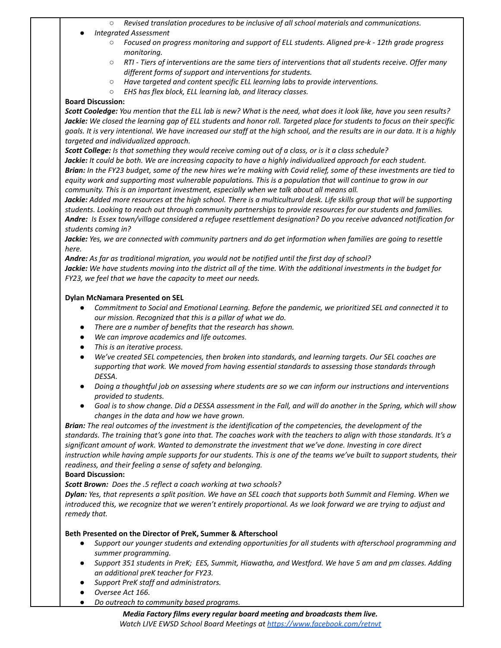*○ Revised translation procedures to be inclusive of all school materials and communications.*

#### *● Integrated Assessment*

- *○ Focused on progress monitoring and support of ELL students. Aligned pre-k - 12th grade progress monitoring.*
- $\circ$  RTI Tiers of interventions are the same tiers of interventions that all students receive. Offer many *different forms of support and interventions for students.*
- *○ Have targeted and content specific ELL learning labs to provide interventions.*
- *○ EHS has flex block, ELL learning lab, and literacy classes.*

#### **Board Discussion:**

Scott Cooledge: You mention that the ELL lab is new? What is the need, what does it look like, have you seen results? Jackie: We closed the learning gap of ELL students and honor roll. Targeted place for students to focus on their specific goals. It is very intentional. We have increased our staff at the high school, and the results are in our data. It is a highly *targeted and individualized approach.*

**Scott College:** Is that something they would receive coming out of a class, or is it a class schedule?

Jackie: It could be both. We are increasing capacity to have a highly individualized approach for each student. Brian: In the FY23 budget, some of the new hires we're making with Covid relief, some of these investments are tied to equity work and supporting most vulnerable populations. This is a population that will continue to grow in our *community. This is an important investment, especially when we talk about all means all.*

Jackie: Added more resources at the high school. There is a multicultural desk. Life skills group that will be supporting students. Looking to reach out through community partnerships to provide resources for our students and families. *Andre: Is Essex town/village considered a refugee resettlement designation? Do you receive advanced notification for students coming in?*

Jackie: Yes, we are connected with community partners and do get information when families are going to resettle *here.*

*Andre: As far as traditional migration, you would not be notified until the first day of school?*

Jackie: We have students moving into the district all of the time. With the additional investments in the budget for *FY23, we feel that we have the capacity to meet our needs.*

#### **Dylan McNamara Presented on SEL**

- Commitment to Social and Emotional Learning. Before the pandemic, we prioritized SEL and connected it to *our mission. Recognized that this is a pillar of what we do.*
- *● There are a number of benefits that the research has shown.*
- *● We can improve academics and life outcomes.*
- *● This is an iterative process.*
- *● We've created SEL competencies, then broken into standards, and learning targets. Our SEL coaches are supporting that work. We moved from having essential standards to assessing those standards through DESSA.*
- Doing a thoughtful job on assessing where students are so we can inform our instructions and interventions *provided to students.*
- Goal is to show change. Did a DESSA assessment in the Fall, and will do another in the Spring, which will show *changes in the data and how we have grown.*

Brian: The real outcomes of the investment is the identification of the competencies, the development of the standards. The training that's gone into that. The coaches work with the teachers to align with those standards. It's a *significant amount of work. Wanted to demonstrate the investment that we've done. Investing in core direct* instruction while having ample supports for our students. This is one of the teams we've built to support students, their *readiness, and their feeling a sense of safety and belonging.*

#### **Board Discussion:**

*Scott Brown: Does the .5 reflect a coach working at two schools?*

Dylan: Yes, that represents a split position. We have an SEL coach that supports both Summit and Fleming. When we introduced this, we recognize that we weren't entirely proportional. As we look forward we are trying to adjust and *remedy that.*

### **Beth Presented on the Director of PreK, Summer & Afterschool**

- *● Support our younger students and extending opportunities for all students with afterschool programming and summer programming.*
- Support 351 students in PreK; EES, Summit, Hiawatha, and Westford. We have 5 am and pm classes. Adding *an additional preK teacher for FY23.*
- *● Support PreK staff and administrators.*
- *● Oversee Act 166.*
- *● Do outreach to community based programs.*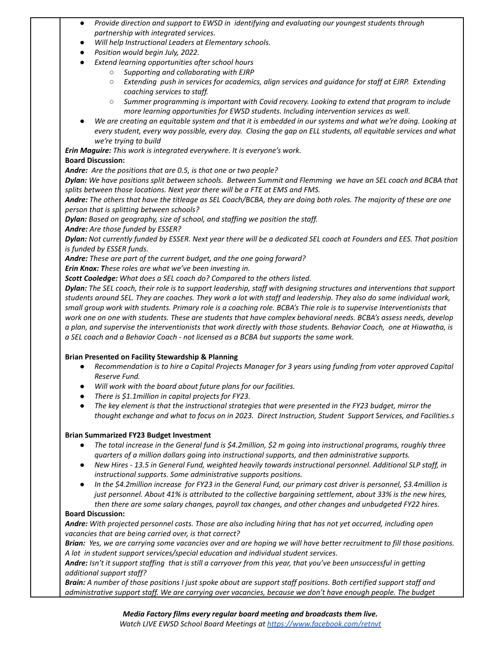- *● Provide direction and support to EWSD in identifying and evaluating our youngest students through partnership with integrated services.*
- *● Will help Instructional Leaders at Elementary schools.*
- *● Position would begin July, 2022.*
	- *● Extend learning opportunities after school hours*
		- *○ Supporting and collaborating with EJRP*
		- *○ Extending push in services for academics, align services and guidance for staff at EJRP. Extending coaching services to staff.*
		- *○ Summer programming is important with Covid recovery. Looking to extend that program to include more learning opportunities for EWSD students. Including intervention services as well.*
- We are creating an equitable system and that it is embedded in our systems and what we're doing. Looking at every student, every way possible, every day. Closing the gap on ELL students, all equitable services and what *we're trying to build*

*Erin Maguire: This work is integrated everywhere. It is everyone's work.*

# **Board Discussion:**

*Andre: Are the positions that are 0.5, is that one or two people?*

Dylan: We have positions split between schools. Between Summit and Flemming we have an SEL coach and BCBA that *splits between those locations. Next year there will be a FTE at EMS and FMS.*

Andre: The others that have the titleage as SEL Coach/BCBA, they are doing both roles. The majority of these are one *person that is splitting between schools?*

*Dylan: Based on geography, size of school, and staffing we position the staff.*

*Andre: Are those funded by ESSER?*

Dylan: Not currently funded by ESSER. Next year there will be a dedicated SEL coach at Founders and EES. That position *is funded by ESSER funds.*

*Andre: These are part of the current budget, and the one going forward?*

*Erin Knox: These roles are what we've been investing in.*

*Scott Cooledge: What does a SEL coach do? Compared to the others listed.*

Dylan: The SEL coach, their role is to support leadership, staff with designing structures and interventions that support students around SEL. They are coaches. They work a lot with staff and leadership. They also do some individual work, small group work with students. Primary role is a coaching role. BCBA's Thie role is to supervise Interventionists that work one on one with students. These are students that have complex behavioral needs. BCBA's assess needs, develop a plan, and supervise the interventionists that work directly with those students. Behavior Coach, one at Hiawatha, is *a SEL coach and a Behavior Coach - not licensed as a BCBA but supports the same work.*

### **Brian Presented on Facility Stewardship & Planning**

- Recommendation is to hire a Capital Projects Manager for 3 years using funding from voter approved Capital *Reserve Fund.*
- *● Will work with the board about future plans for our facilities.*
- *● There is \$1.1million in capital projects for FY23.*
- The key element is that the instructional strategies that were presented in the FY23 budget, mirror the *thought exchange and what to focus on in 2023. Direct Instruction, Student Support Services, and Facilities.s*

### **Brian Summarized FY23 Budget Investment**

- The total increase in the General fund is \$4.2 million, \$2 m going into instructional programs, roughly three *quarters of a million dollars going into instructional supports, and then administrative supports.*
- New Hires 13.5 in General Fund, weighted heavily towards instructional personnel. Additional SLP staff, in *instructional supports. Some administrative supports positions.*
- In the \$4.2million increase for FY23 in the General Fund, our primary cost driver is personnel, \$3.4million is just personnel. About 41% is attributed to the collective bargaining settlement, about 33% is the new hires, *then there are some salary changes, payroll tax changes, and other changes and unbudgeted FY22 hires.*

# **Board Discussion:**

Andre: With projected personnel costs. Those are also including hiring that has not yet occurred, including open *vacancies that are being carried over, is that correct?*

Brian: Yes, we are carrying some vacancies over and are hoping we will have better recruitment to fill those positions. *A lot in student support services/special education and individual student services.*

Andre: Isn't it support staffing that is still a carryover from this year, that you've been unsuccessful in getting *additional support staff?*

**Brain:** A number of those positions I just spoke about are support staff positions. Both certified support staff and *administrative support staff. We are carrying over vacancies, because we don't have enough people. The budget*

*Media Factory films every regular board meeting and broadcasts them live.*

*Watch LIVE EWSD School Board Meetings at https://www.facebook.com/retnvt*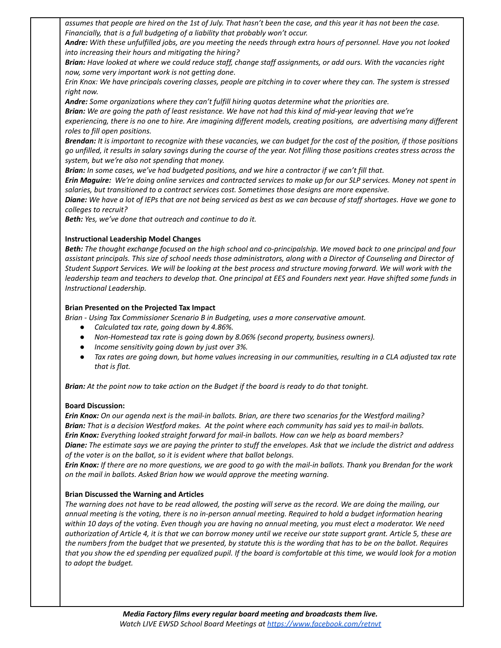assumes that people are hired on the 1st of July. That hasn't been the case, and this year it has not been the case. *Financially, that is a full budgeting of a liability that probably won't occur.*

**Andre:** With these unfulfilled jobs, are you meeting the needs through extra hours of personnel. Have you not looked *into increasing their hours and mitigating the hiring?*

Brian: Have looked at where we could reduce staff, change staff assignments, or add ours. With the vacancies right *now, some very important work is not getting done.*

Erin Knox: We have principals covering classes, people are pitching in to cover where they can. The system is stressed *right now.*

*Andre: Some organizations where they can't fulfill hiring quotas determine what the priorities are.*

Brian: We are going the path of least resistance. We have not had this kind of mid-year leaving that we're

experiencing, there is no one to hire. Are imagining different models, creating positions, are advertising many different *roles to fill open positions.*

Brendan: It is important to recognize with these vacancies, we can budget for the cost of the position, if those positions go unfilled, it results in salary savings during the course of the year. Not filling those positions creates stress across the *system, but we're also not spending that money.*

Brian: In some cases, we've had budgeted positions, and we hire a contractor if we can't fill that.

Erin Maguire: We're doing online services and contracted services to make up for our SLP services. Money not spent in *salaries, but transitioned to a contract services cost. Sometimes those designs are more expensive.*

Diane: We have a lot of IEPs that are not being serviced as best as we can because of staff shortages. Have we gone to *colleges to recruit?*

*Beth: Yes, we've done that outreach and continue to do it.*

#### **Instructional Leadership Model Changes**

Beth: The thought exchange focused on the high school and co-principalship. We moved back to one principal and four assistant principals. This size of school needs those administrators, along with a Director of Counseling and Director of Student Support Services. We will be looking at the best process and structure moving forward. We will work with the leadership team and teachers to develop that. One principal at EES and Founders next year. Have shifted some funds in *Instructional Leadership.*

#### **Brian Presented on the Projected Tax Impact**

*Brian - Using Tax Commissioner Scenario B in Budgeting, uses a more conservative amount.*

- *● Calculated tax rate, going down by 4.86%.*
- *● Non-Homestead tax rate is going down by 8.06% (second property, business owners).*
- *● Income sensitivity going down by just over 3%.*
- Tax rates are going down, but home values increasing in our communities, resulting in a CLA adjusted tax rate *that is flat.*

Brian: At the point now to take action on the Budget if the board is ready to do that tonight.

#### **Board Discussion:**

Erin Knox: On our agenda next is the mail-in ballots. Brian, are there two scenarios for the Westford mailing? Brian: That is a decision Westford makes. At the point where each community has said yes to mail-in ballots. *Erin Knox: Everything looked straight forward for mail-in ballots. How can we help as board members?* Diane: The estimate says we are paying the printer to stuff the envelopes. Ask that we include the district and address *of the voter is on the ballot, so it is evident where that ballot belongs.*

Erin Knox: If there are no more questions, we are good to go with the mail-in ballots. Thank you Brendan for the work *on the mail in ballots. Asked Brian how we would approve the meeting warning.*

### **Brian Discussed the Warning and Articles**

The warning does not have to be read allowed, the posting will serve as the record. We are doing the mailing, our annual meeting is the voting, there is no in-person annual meeting. Required to hold a budget information hearing within 10 days of the voting. Even though you are having no annual meeting, you must elect a moderator. We need authorization of Article 4, it is that we can borrow money until we receive our state support grant. Article 5, these are the numbers from the budget that we presented, by statute this is the wording that has to be on the ballot. Requires that you show the ed spending per equalized pupil. If the board is comfortable at this time, we would look for a motion *to adopt the budget.*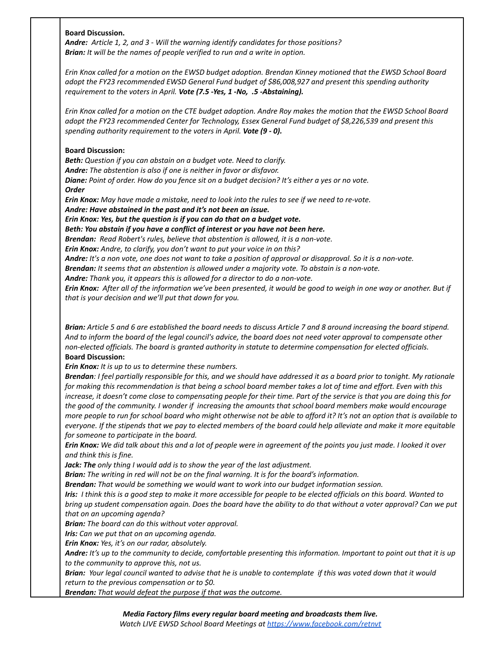#### **Board Discussion.**

*Andre: Article 1, 2, and 3 - Will the warning identify candidates for those positions? Brian: It will be the names of people verified to run and a write in option.*

Erin Knox called for a motion on the EWSD budget adoption. Brendan Kinney motioned that the EWSD School Board *adopt the FY23 recommended EWSD General Fund budget of \$86,008,927 and present this spending authority requirement to the voters in April. Vote (7.5 -Yes, 1 -No, .5 -Abstaining).*

Erin Knox called for a motion on the CTE budget adoption. Andre Roy makes the motion that the EWSD School Board *adopt the FY23 recommended Center for Technology, Essex General Fund budget of \$8,226,539 and present this spending authority requirement to the voters in April. Vote (9 - 0).*

#### **Board Discussion:**

*Beth: Question if you can abstain on a budget vote. Need to clarify. Andre: The abstention is also if one is neither in favor or disfavor.* Diane: Point of order. How do you fence sit on a budget decision? It's either a yes or no vote. *Order*

**Erin Knox:** May have made a mistake, need to look into the rules to see if we need to re-vote. *Andre: Have abstained in the past and it's not been an issue.*

*Erin Knox: Yes, but the question is if you can do that on a budget vote.*

*Beth: You abstain if you have a conflict of interest or you have not been here.*

*Brendan: Read Robert's rules, believe that abstention is allowed, it is a non-vote.*

*Erin Knox: Andre, to clarify, you don't want to put your voice in on this?*

Andre: It's a non vote, one does not want to take a position of approval or disapproval. So it is a non-vote.

*Brendan: It seems that an abstention is allowed under a majority vote. To abstain is a non-vote.*

*Andre: Thank you, it appears this is allowed for a director to do a non-vote.*

Erin Knox: After all of the information we've been presented, it would be good to weigh in one way or another. But if *that is your decision and we'll put that down for you.*

Brian: Article 5 and 6 are established the board needs to discuss Article 7 and 8 around increasing the board stipend. And to inform the board of the legal council's advice, the board does not need voter approval to compensate other *non-elected officials. The board is granted authority in statute to determine compensation for elected officials.* **Board Discussion:**

*Erin Knox: It is up to us to determine these numbers.*

Brendan: I feel partially responsible for this, and we should have addressed it as a board prior to tonight. My rationale for making this recommendation is that being a school board member takes a lot of time and effort. Even with this increase, it doesn't come close to compensating people for their time. Part of the service is that you are doing this for the good of the community. I wonder if increasing the amounts that school board members make would encourage more people to run for school board who might otherwise not be able to afford it? It's not an option that is available to everyone. If the stipends that we pay to elected members of the board could help alleviate and make it more equitable *for someone to participate in the board.*

Erin Knox: We did talk about this and a lot of people were in agreement of the points you just made. I looked it over *and think this is fine.*

*Jack: The only thing I would add is to show the year of the last adjustment.*

*Brian: The writing in red will not be on the final warning. It is for the board's information.*

*Brendan: That would be something we would want to work into our budget information session.*

Iris: I think this is a good step to make it more accessible for people to be elected officials on this board. Wanted to bring up student compensation again. Does the board have the ability to do that without a voter approval? Can we put *that on an upcoming agenda?*

*Brian: The board can do this without voter approval.*

*Iris: Can we put that on an upcoming agenda.*

*Erin Knox: Yes, it's on our radar, absolutely.*

Andre: It's up to the community to decide, comfortable presenting this information. Important to point out that it is up *to the community to approve this, not us.*

Brian: Your legal council wanted to advise that he is unable to contemplate if this was voted down that it would *return to the previous compensation or to \$0.*

*Brendan: That would defeat the purpose if that was the outcome.*

*Watch LIVE EWSD School Board Meetings at https://www.facebook.com/retnvt*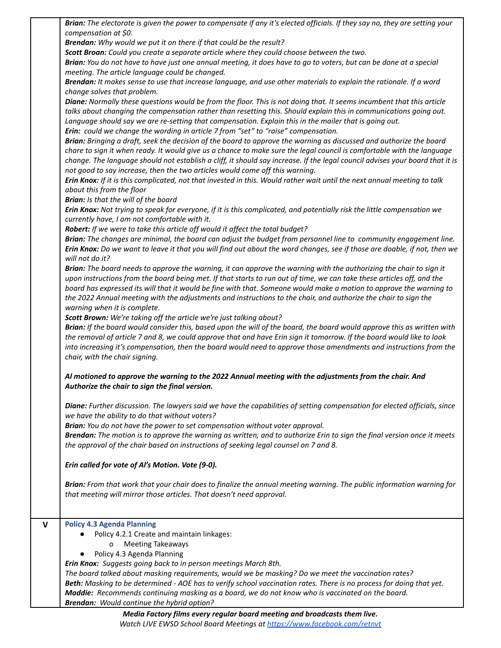|   | Brian: The electorate is given the power to compensate if any it's elected officials. If they say no, they are setting your                                                                                                                                                                                                                           |
|---|-------------------------------------------------------------------------------------------------------------------------------------------------------------------------------------------------------------------------------------------------------------------------------------------------------------------------------------------------------|
|   | compensation at \$0.                                                                                                                                                                                                                                                                                                                                  |
|   | Brendan: Why would we put it on there if that could be the result?                                                                                                                                                                                                                                                                                    |
|   | Scott Broan: Could you create a separate article where they could choose between the two.                                                                                                                                                                                                                                                             |
|   | Brian: You do not have to have just one annual meeting, it does have to go to voters, but can be done at a special                                                                                                                                                                                                                                    |
|   | meeting. The article language could be changed.                                                                                                                                                                                                                                                                                                       |
|   | Brendan: It makes sense to use that increase language, and use other materials to explain the rationale. If a word                                                                                                                                                                                                                                    |
|   | change solves that problem.                                                                                                                                                                                                                                                                                                                           |
|   | Diane: Normally these questions would be from the floor. This is not doing that. It seems incumbent that this article<br>talks about changing the compensation rather than resetting this. Should explain this in communications going out.<br>Language should say we are re-setting that compensation. Explain this in the mailer that is going out. |
|   | Erin: could we change the wording in article 7 from "set" to "raise" compensation.                                                                                                                                                                                                                                                                    |
|   | Brian: Bringing a draft, seek the decision of the board to approve the warning as discussed and authorize the board                                                                                                                                                                                                                                   |
|   | chare to sign it when ready. It would give us a chance to make sure the legal council is comfortable with the language<br>change. The language should not establish a cliff, it should say increase. If the legal council advises your board that it is<br>not good to say increase, then the two articles would come off this warning.               |
|   | Erin Knox: If it is this complicated, not that invested in this. Would rather wait until the next annual meeting to talk<br>about this from the floor                                                                                                                                                                                                 |
|   | Brian: Is that the will of the board                                                                                                                                                                                                                                                                                                                  |
|   | Erin Knox: Not trying to speak for everyone, if it is this complicated, and potentially risk the little compensation we<br>currently have, I am not comfortable with it.                                                                                                                                                                              |
|   | Robert: If we were to take this article off would it affect the total budget?                                                                                                                                                                                                                                                                         |
|   | Brian: The changes are minimal, the board can adjust the budget from personnel line to community engagement line.                                                                                                                                                                                                                                     |
|   | Erin Knox: Do we want to leave it that you will find out about the word changes, see if those are doable, if not, then we<br>will not do it?                                                                                                                                                                                                          |
|   | Brian: The board needs to approve the warning, it can approve the warning with the authorizing the chair to sign it                                                                                                                                                                                                                                   |
|   | upon instructions from the board being met. If that starts to run out of time, we can take these articles off, and the<br>board has expressed its will that it would be fine with that. Someone would make a motion to approve the warning to                                                                                                         |
|   | the 2022 Annual meeting with the adjustments and instructions to the chair, and authorize the chair to sign the                                                                                                                                                                                                                                       |
|   | warning when it is complete.                                                                                                                                                                                                                                                                                                                          |
|   | Scott Brown: We're taking off the article we're just talking about?                                                                                                                                                                                                                                                                                   |
|   | Brian: If the board would consider this, based upon the will of the board, the board would approve this as written with<br>the removal of article 7 and 8, we could approve that and have Erin sign it tomorrow. If the board would like to look                                                                                                      |
|   | into increasing it's compensation, then the board would need to approve those amendments and instructions from the                                                                                                                                                                                                                                    |
|   | chair, with the chair signing.                                                                                                                                                                                                                                                                                                                        |
|   | Al motioned to approve the warning to the 2022 Annual meeting with the adjustments from the chair. And<br>Authorize the chair to sign the final version                                                                                                                                                                                               |
|   |                                                                                                                                                                                                                                                                                                                                                       |
|   | Diane: Further discussion. The lawyers said we have the capabilities of setting compensation for elected officials, since<br>we have the ability to do that without voters?                                                                                                                                                                           |
|   | Brian: You do not have the power to set compensation without voter approval.                                                                                                                                                                                                                                                                          |
|   | Brendan: The motion is to approve the warning as written, and to authorize Erin to sign the final version once it meets                                                                                                                                                                                                                               |
|   | the approval of the chair based on instructions of seeking legal counsel on 7 and 8.                                                                                                                                                                                                                                                                  |
|   | Erin called for vote of Al's Motion. Vote (9-0).                                                                                                                                                                                                                                                                                                      |
|   |                                                                                                                                                                                                                                                                                                                                                       |
|   | Brian: From that work that your chair does to finalize the annual meeting warning. The public information warning for                                                                                                                                                                                                                                 |
|   | that meeting will mirror those articles. That doesn't need approval.                                                                                                                                                                                                                                                                                  |
|   |                                                                                                                                                                                                                                                                                                                                                       |
| V | <b>Policy 4.3 Agenda Planning</b>                                                                                                                                                                                                                                                                                                                     |
|   | Policy 4.2.1 Create and maintain linkages:                                                                                                                                                                                                                                                                                                            |
|   | <b>Meeting Takeaways</b><br>0                                                                                                                                                                                                                                                                                                                         |
|   | Policy 4.3 Agenda Planning                                                                                                                                                                                                                                                                                                                            |
|   | Erin Knox: Suggests going back to in person meetings March 8th.                                                                                                                                                                                                                                                                                       |
|   | The board talked about masking requirements, would we be masking? Do we meet the vaccination rates?                                                                                                                                                                                                                                                   |
|   | Beth: Masking to be determined - AOE has to verify school vaccination rates. There is no process for doing that yet.                                                                                                                                                                                                                                  |
|   | Maddie: Recommends continuing masking as a board, we do not know who is vaccinated on the board.                                                                                                                                                                                                                                                      |
|   | Brendan: Would continue the hybrid option?                                                                                                                                                                                                                                                                                                            |